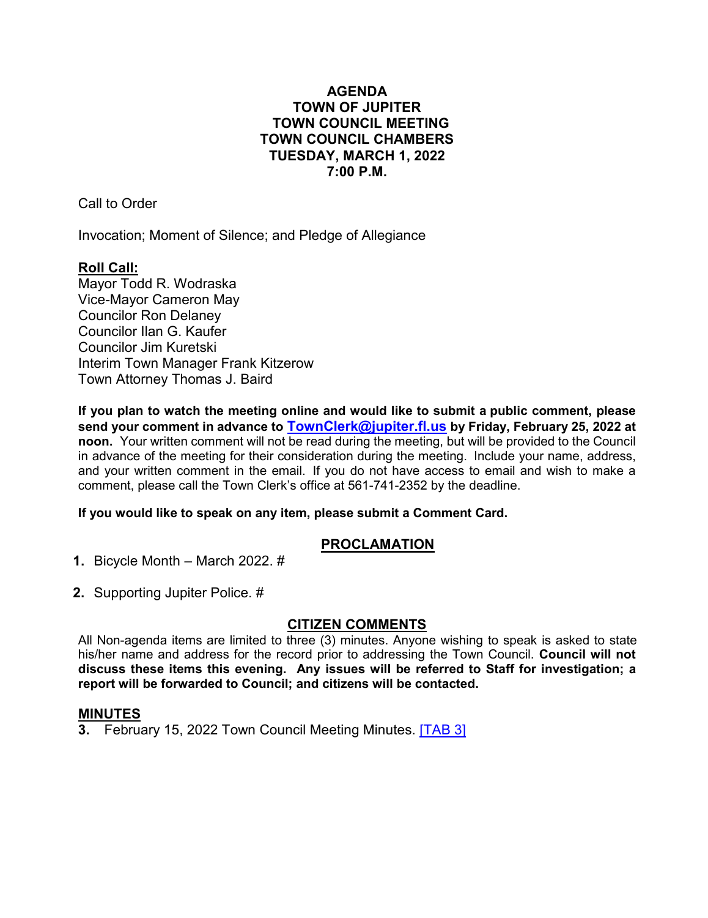# **AGENDA TOWN OF JUPITER TOWN COUNCIL MEETING TOWN COUNCIL CHAMBERS TUESDAY, MARCH 1, 2022 7:00 P.M.**

Call to Order

Invocation; Moment of Silence; and Pledge of Allegiance

## **Roll Call:**

Mayor Todd R. Wodraska Vice-Mayor Cameron May Councilor Ron Delaney Councilor Ilan G. Kaufer Councilor Jim Kuretski Interim Town Manager Frank Kitzerow Town Attorney Thomas J. Baird

**If you plan to watch the meeting online and would like to submit a public comment, please send your comment in advance to [TownClerk@jupiter.fl.us](mailto:TownClerk@jupiter.fl.us) by Friday, February 25, 2022 at noon.** Your written comment will not be read during the meeting, but will be provided to the Council in advance of the meeting for their consideration during the meeting. Include your name, address, and your written comment in the email. If you do not have access to email and wish to make a comment, please call the Town Clerk's office at 561-741-2352 by the deadline.

### **If you would like to speak on any item, please submit a Comment Card.**

# **PROCLAMATION**

**1.** Bicycle Month – March 2022. #

**2.** Supporting Jupiter Police. #

### **CITIZEN COMMENTS**

All Non-agenda items are limited to three (3) minutes. Anyone wishing to speak is asked to state his/her name and address for the record prior to addressing the Town Council. **Council will not discuss these items this evening. Any issues will be referred [to Staff](http://www.jupiter.fl.us/documentcenter/view/29648) for investigation; a report will be forwarded to Council; and citizens will be contacted.**

### **MINUTES**

**3.** February 15, 2022 Town Council Meeting Minutes. [\[TAB 3\]](http://www.jupiter.fl.us/documentcenter/view/29648)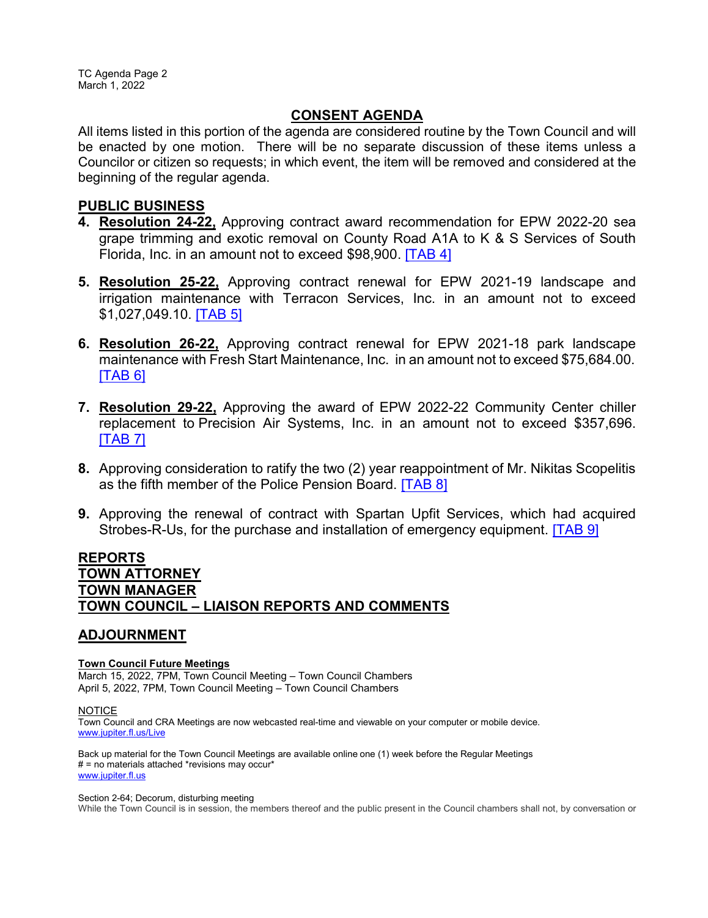# **CONSENT AGENDA**

All items listed in this portion of the agenda are considered routine by the Town Council and will be enacted by one motion. There will be no separate discussion of these items unless a Councilor or citizen so requests; in which event, the item will be removed and considered at the beginning of the regular agenda.

## **PUBLIC BUSINESS**

- **4. Resolution 24-22,** Approving contract award recommendation for EPW 2022-20 sea grape trimming and exotic removal on County Road A1A to K & S Services of South Florida, Inc. in an amount not to exceed \$98,900. [\[TAB 4\]](http://www.jupiter.fl.us/documentcenter/view/29637)
- **5. Resolution 25-22,** Approving contract renewal for EPW 2021-19 landscape and irrigation maintenance with Terracon Services, Inc. in an amount not to exceed \$1,027,049.10. [\[TAB 5\]](http://www.jupiter.fl.us/documentcenter/view/29638)
- **6. Resolution 26-22,** Approving contract renewal for EPW 2021-18 park landscape maintenance with Fresh Start Maintenance, Inc. in an amount not to exceed \$75,684.00. [\[TAB 6\]](http://www.jupiter.fl.us/documentcenter/view/29639)
- **7. Resolution 29-22,** Approving the award of EPW 2022-22 Community Center chiller replacement to Precision Air Systems, Inc. in an amount not to exceed \$357,696. [\[TAB 7\]](http://www.jupiter.fl.us/documentcenter/view/29640)
- **8.** Approving consideration to ratify the two (2) year reappointment of Mr. Nikitas Scopelitis as the fifth member of the Police Pension Board. [\[TAB 8\]](http://www.jupiter.fl.us/documentcenter/view/29641)
- **9.** Approving the renewal of contract with Spartan Upfit Services, which had acquired Strobes-R-Us, for the purchase and installation of emergency equipment. [\[TAB 9\]](http://www.jupiter.fl.us/documentcenter/view/29642)

# **REPORTS TOWN ATTORNEY TOWN MANAGER TOWN COUNCIL – LIAISON REPORTS AND COMMENTS**

# **ADJOURNMENT**

#### **Town Council Future Meetings**

March 15, 2022, 7PM, Town Council Meeting – Town Council Chambers April 5, 2022, 7PM, Town Council Meeting – Town Council Chambers

#### **NOTICE**

Town Council and CRA Meetings are now webcasted real-time and viewable on your computer or mobile device. [www.jupiter.fl.us/Live](http://www.jupiter.fl.us/Live)

Back up material for the Town Council Meetings are available online one (1) week before the Regular Meetings  $#$  = no materials attached \*revisions may occur\* [www.jupiter.fl.us](http://www.jupiter.fl.us/)

#### Section 2-64; Decorum, disturbing meeting

While the Town Council is in session, the members thereof and the public present in the Council chambers shall not, by conversation or